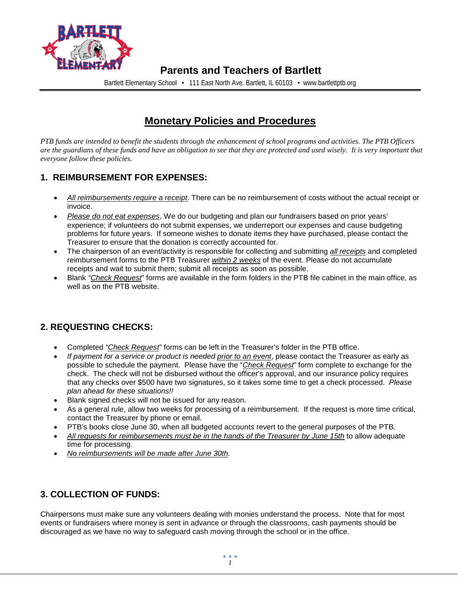

# **Parents and Teachers of Bartlett**

Bartlett Elementary School • 111 East North Ave. Bartlett, IL 60103 • www.bartlettptb.org

# **Monetary Policies and Procedures**

*PTB funds are intended to benefit the students through the enhancement of school programs and activities. The PTB Officers are the guardians of these funds and have an obligation to see that they are protected and used wisely. It is very important that everyone follow these policies.*

### **1. REIMBURSEMENT FOR EXPENSES:**

- *All reimbursements require a receipt*. There can be no reimbursement of costs without the actual receipt or invoice.
- *Please do not eat expenses*. We do our budgeting and plan our fundraisers based on prior years' experience; if volunteers do not submit expenses, we underreport our expenses and cause budgeting problems for future years. If someone wishes to donate items they have purchased, please contact the Treasurer to ensure that the donation is correctly accounted for.
- The chairperson of an event/activity is responsible for collecting and submitting *all receipts* and completed reimbursement forms to the PTB Treasurer *within 2 weeks* of the event. Please do not accumulate receipts and wait to submit them; submit all receipts as soon as possible.
- Blank *"Check Request*" forms are available in the form folders in the PTB file cabinet in the main office, as well as on the PTB website.

# **2. REQUESTING CHECKS:**

- Completed *"Check Request*" forms can be left in the Treasurer's folder in the PTB office.
- *If payment for a service or product is needed prior to an event*, please contact the Treasurer as early as possible to schedule the payment. Please have the "*Check Request*" form complete to exchange for the check. The check will not be disbursed without the officer's approval, and our insurance policy requires that any checks over \$500 have two signatures, so it takes some time to get a check processed. *Please plan ahead for these situations!!*
- Blank signed checks will not be issued for any reason.
- As a general rule, allow two weeks for processing of a reimbursement. If the request is more time critical, contact the Treasurer by phone or email.
- PTB's books close June 30, when all budgeted accounts revert to the general purposes of the PTB.
- *All requests for reimbursements must be in the hands of the Treasurer by June 15th* to allow adequate time for processing.
- *No reimbursements will be made after June 30th.*

# **3. COLLECTION OF FUNDS:**

Chairpersons must make sure any volunteers dealing with monies understand the process. Note that for most events or fundraisers where money is sent in advance or through the classrooms, cash payments should be discouraged as we have no way to safeguard cash moving through the school or in the office.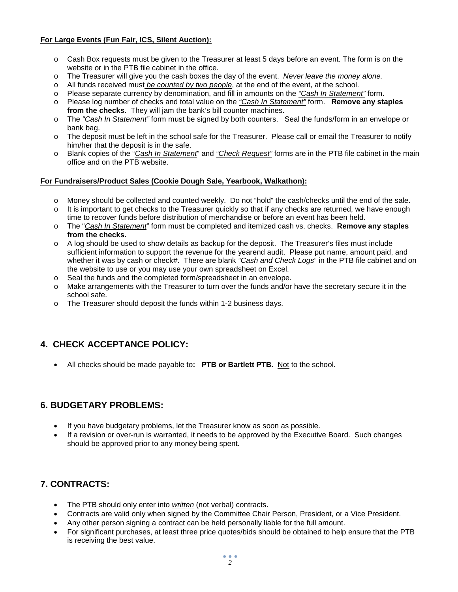#### **For Large Events (Fun Fair, ICS, Silent Auction):**

- o Cash Box requests must be given to the Treasurer at least 5 days before an event. The form is on the website or in the PTB file cabinet in the office.
- o The Treasurer will give you the cash boxes the day of the event. *Never leave the money alone.*
- o All funds received must *be counted by two people*, at the end of the event, at the school.
- o Please separate currency by denomination, and fill in amounts on the *"Cash In Statement"* form.
- o Please log number of checks and total value on the *"Cash In Statement"* form. **Remove any staples from the checks**. They will jam the bank's bill counter machines.
- o The *"Cash In Statement"* form must be signed by both counters. Seal the funds/form in an envelope or bank bag.
- o The deposit must be left in the school safe for the Treasurer. Please call or email the Treasurer to notify him/her that the deposit is in the safe.
- o Blank copies of the "*Cash In Statement*" and *"Check Request"* forms are in the PTB file cabinet in the main office and on the PTB website.

#### **For Fundraisers/Product Sales (Cookie Dough Sale, Yearbook, Walkathon):**

- o Money should be collected and counted weekly. Do not "hold" the cash/checks until the end of the sale.
- $\circ$  It is important to get checks to the Treasurer quickly so that if any checks are returned, we have enough time to recover funds before distribution of merchandise or before an event has been held.
- o The "*Cash In Statement*" form must be completed and itemized cash vs. checks. **Remove any staples from the checks.**
- o A log should be used to show details as backup for the deposit. The Treasurer's files must include sufficient information to support the revenue for the yearend audit. Please put name, amount paid, and whether it was by cash or check#. There are blank *"Cash and Check Logs*" in the PTB file cabinet and on the website to use or you may use your own spreadsheet on Excel.
- o Seal the funds and the completed form/spreadsheet in an envelope.
- o Make arrangements with the Treasurer to turn over the funds and/or have the secretary secure it in the school safe.
- o The Treasurer should deposit the funds within 1-2 business days.

# **4. CHECK ACCEPTANCE POLICY:**

• All checks should be made payable to**: PTB or Bartlett PTB.** Not to the school.

### **6. BUDGETARY PROBLEMS:**

- If you have budgetary problems, let the Treasurer know as soon as possible.
- If a revision or over-run is warranted, it needs to be approved by the Executive Board. Such changes should be approved prior to any money being spent.

# **7. CONTRACTS:**

- The PTB should only enter into *written* (not verbal) contracts.
- Contracts are valid only when signed by the Committee Chair Person, President, or a Vice President.
- Any other person signing a contract can be held personally liable for the full amount.
- For significant purchases, at least three price quotes/bids should be obtained to help ensure that the PTB is receiving the best value.